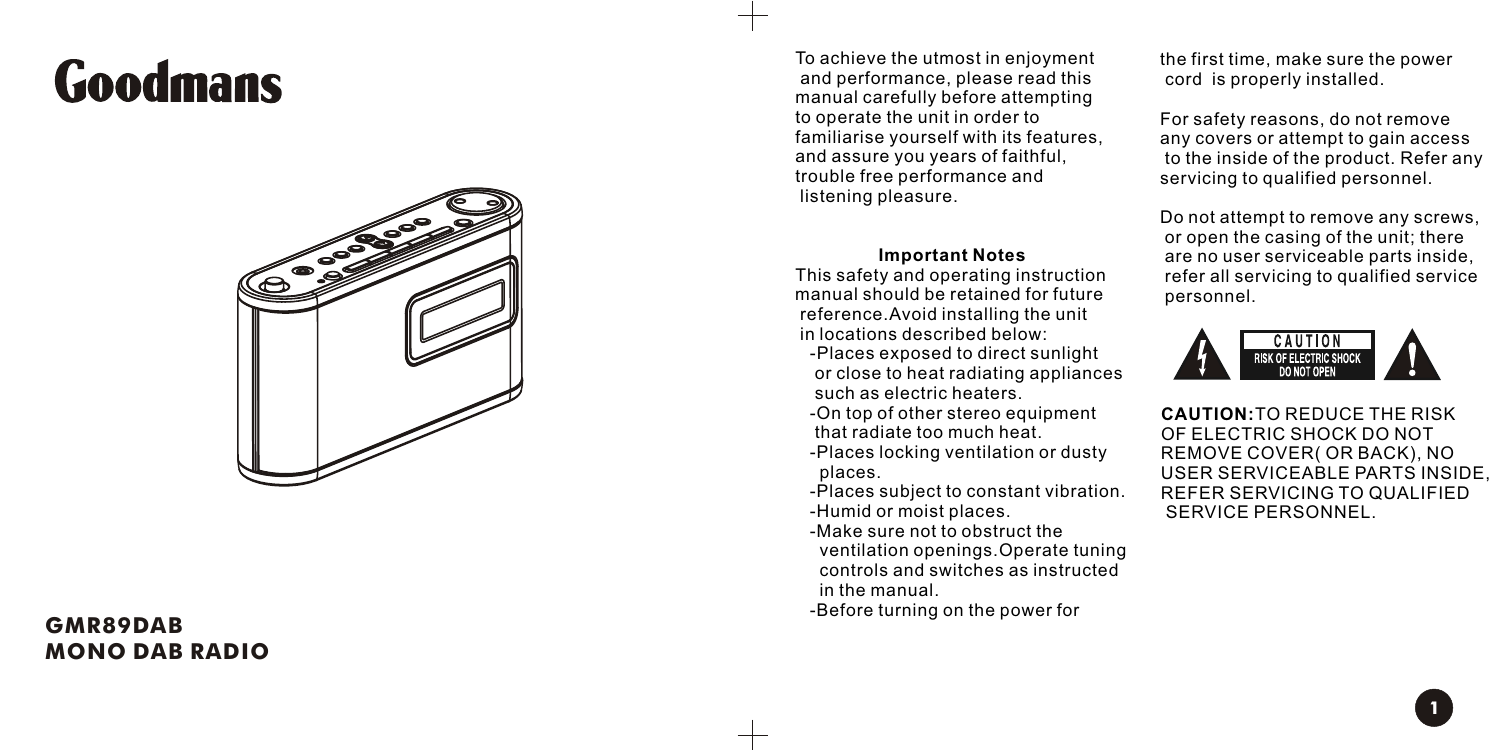# **Goodmans**



#### **G M R 8 9 D A B M O NO D AB R A D I O**

To achieve the utmost in enjoyment a nd p e r f o r m a n c e, ple a se r e ad t his manual carefully before attempting to operate the unit in order to familiarise yourself with its features, and assure you years of faithful, trouble free performance and listening pleasure.

#### **I m p o r t a nt N o t e s**

This safety and operating instruction manual should be retained for future reference. Avoid installing the unit in locations described below:

- -Places exposed to direct sunlight or clo se to h e at r a dia ting a p plia n c es such as electric heaters.
- -On top of other stereo equipment that radiate too much heat.
- -Places locking ventilation or dusty places.
- -Places subject to constant vibration. - H u mid or m oist pla c e s .
- -Make sure not to obstruct the ventilation openings.Operate tuning controls and switches as instructed in t he m a n u al.

- B e f o re t u r ning on t he p o w er f or

the first time, make sure the power cord is properly installed.

For safety reasons, do not r e m o ve any covers or attempt to gain access to the inside of the product. Refer any servicing to qualified personnel.

Do not attempt to remove any screws, or open the casing of the unit; there a re no u s er s e r vic e a ble p a r ts i n sid e , r e f er all s e r vicing to q u alified s e r vic e personnel.



**CAUTION:** TO REDUCE THE RISK OF ELECTRIC SHOCK DO NOT REMOVE COVER( OR BACK), NO USER SERVICEABLE PARTS INSIDE, R E F ER S E R VICING TO Q U A LIFIE D SERVICE PERSONNEL.

**1**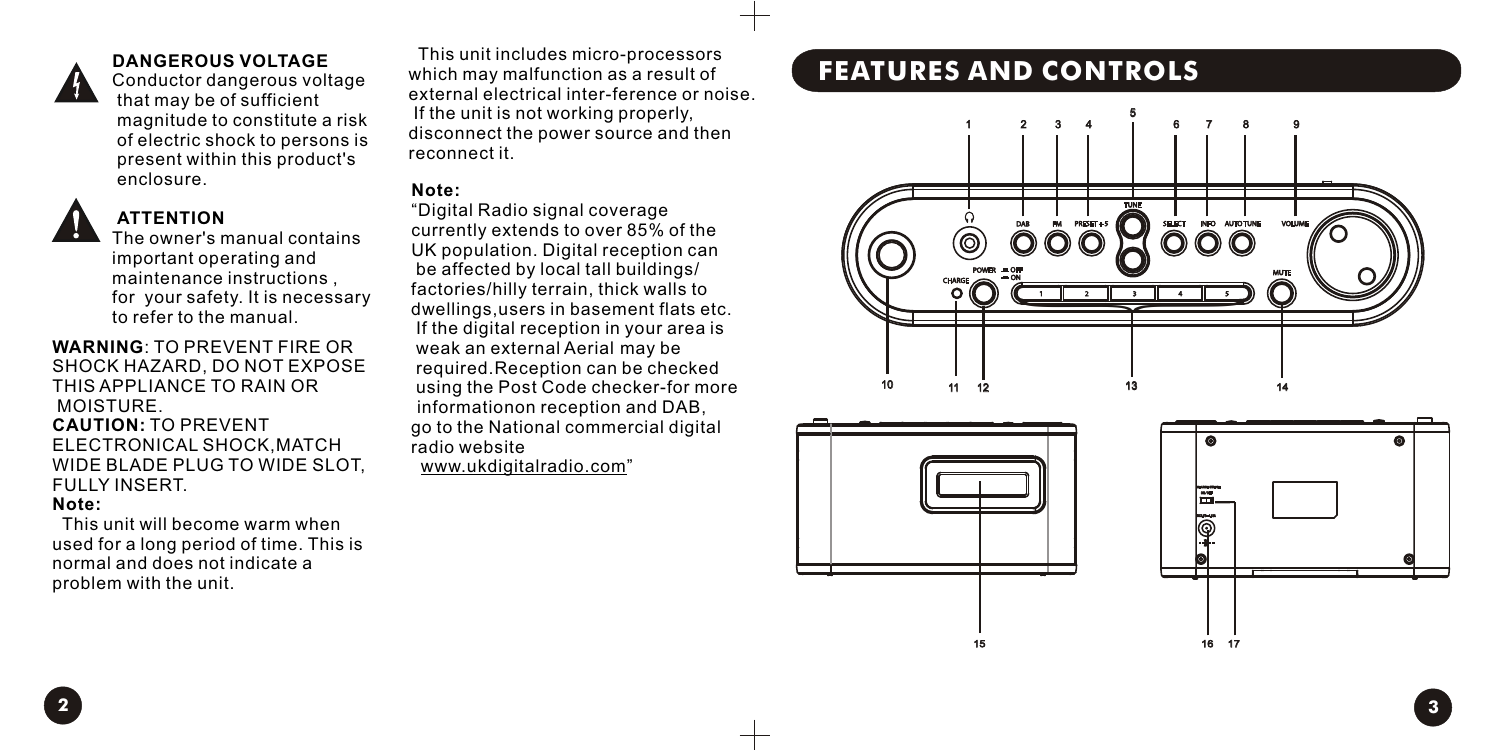

#### **DANGEROUS VOLTAGE**

Conductor dangerous voltage that may be of sufficient magnitude to constitute a risk of electric shock to persons is present within this product's enclosure.



# **ATTENTION**

The owner's manual contains important operating and maintenance instructions , for your safety. It is necessary to refer to the manual.

**WARNING**: TO PREVENT FIRE OR SHOCK HAZARD, DO NOT EXPOSE THIS APPLIANCE TO RAIN OR MOISTURE. **CAUTION:** TO PREVENT ELECTRONICAL SHOCK,MATCH WIDE BLADE PLUG TO WIDE SLOT, FULLY INSERT.

#### **Note:**

This unit will become warm when used for a long period of time. This is normal and does not indicate a problem with the unit.

 This unit includes micro-processors which may malfunction as a result of external electrical inter-ference or noise. If the unit is not working properly, disconnect the power source and then reconnect it.

#### **Note:**

"Digital Radio signal coverage currently extends to over 85% of the UK population. Digital reception can be affected by local tall buildings/ factories/hilly terrain, thick walls to dwellings,users in basement flats etc. If the digital reception in your area is weak an external Aerial may be required.Reception can be checked using the Post Code checker-for more informationon reception and DAB, go to the National commercial digital radio website

www.ukdigitalradio.com"

# **FEATURES AND CONTROLS**







16 17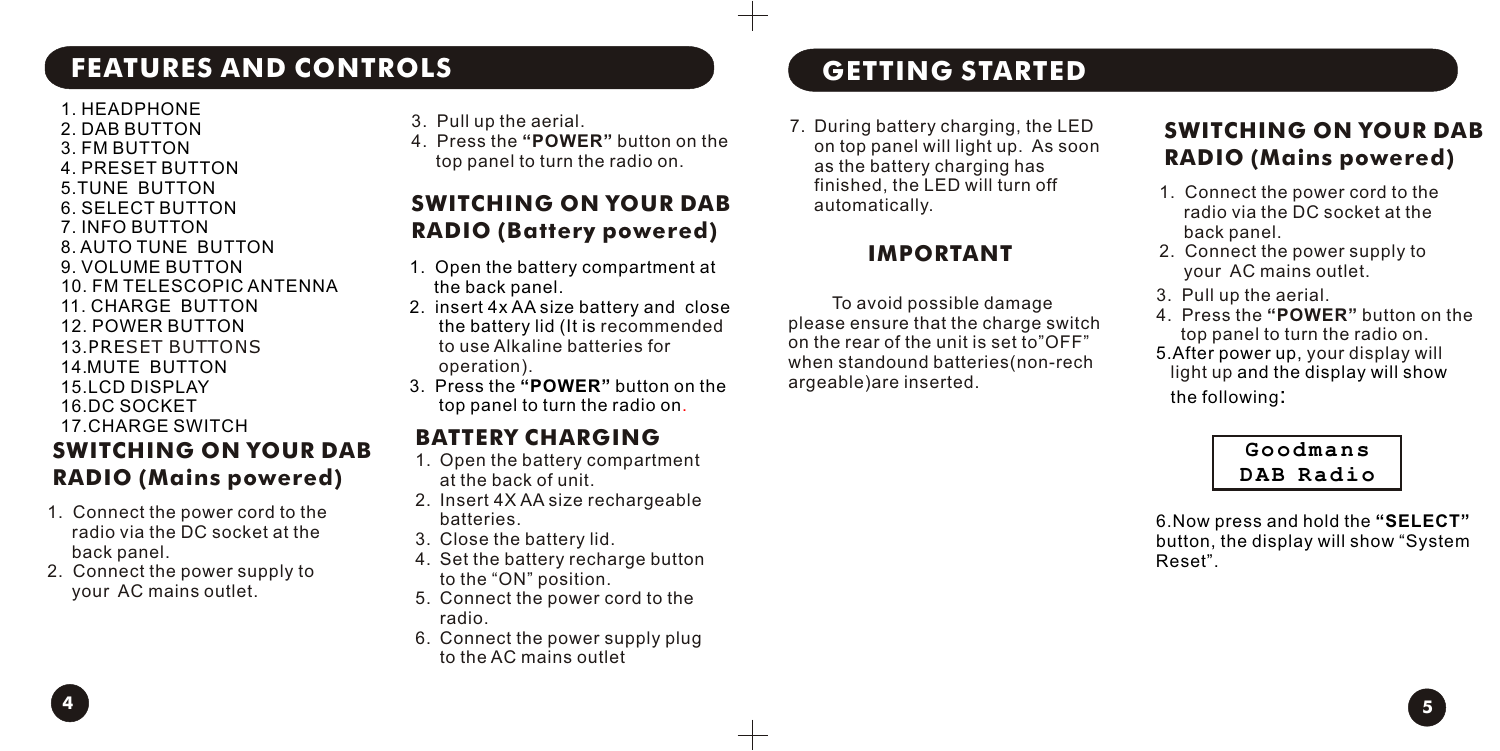# **FEATURES AND CONTROLS GETTING STARTED**

1. HEADPHONE 2. DAB BUTTON 3. FM BUTTON 4. PRESET BUTTON 5.TUNE BUTTON 6. SELECT BUTTON 7. INFO BUTTON 8. AUTO TUNE BUTTON 9. VOLUME BUTTON 10. FM TELESCOPIC ANTENNA 11. CHARGE BUTTON 12. POWER BUTTON

13.PRE SET BUTTONS 14.MUTE BUTTON 15.LCD DISPLAY

- 16.DC SOCKET 17.CHARGE SWITCH **SWITCHING ON YOUR DAB RADIO (Mains powered)**
- 1. Connect the power cord to the radio via the DC socket at the back panel.
- 2. Connect the power supply to your AC mains outlet.
- 3. Pull up the aerial.
- 4. Press the **"POWER"** button on the top panel to turn the radio on.

# **SWITCHING ON YOUR DAB RADIO (Battery powered)**

- 1. Open the battery compartment at the back panel.
- 2. insert 4x AA size battery and close the battery lid (It is recommended to use Alkaline batteries for operation).
- 3. Press the **"POWER"** button on the top panel to turn the radio on .

## **BATTERY CHARGING**

- 1. Open the battery compartment at the back of unit.
- 2. Insert 4X AA size rechargeable batteries.
- 3. Close the battery lid.
- 4. Set the battery recharge button to the "ON" position.
- 5. Connect the power cord to the radio.
- 6. Connect the power supply plug to the AC mains outlet

7. During battery charging, the LED on top panel will light up. As soon as the battery charging has finished, the LED will turn off automatically.

#### **IMPORTANT**

 To avoid possible damage please ensure that the charge switch on the rear of the unit is set to"OFF" when standound batteries(non-rech argeable)are inserted.

# **SWITCHING ON YOUR DAB RADIO (Mains powered)**

- 1. Connect the power cord to the radio via the DC socket at the back panel.
- 2. Connect the power supply to your AC mains outlet.
- 3. Pull up the aerial.
- 4. Press the **"POWER"** button on the top panel to turn the radio on.
- 5.After power up, your display will light up and the display will show the following:

**Goodmans DAB Radio**

6.Now press and hold the **"SELECT"** button, the display will show "System Reset".

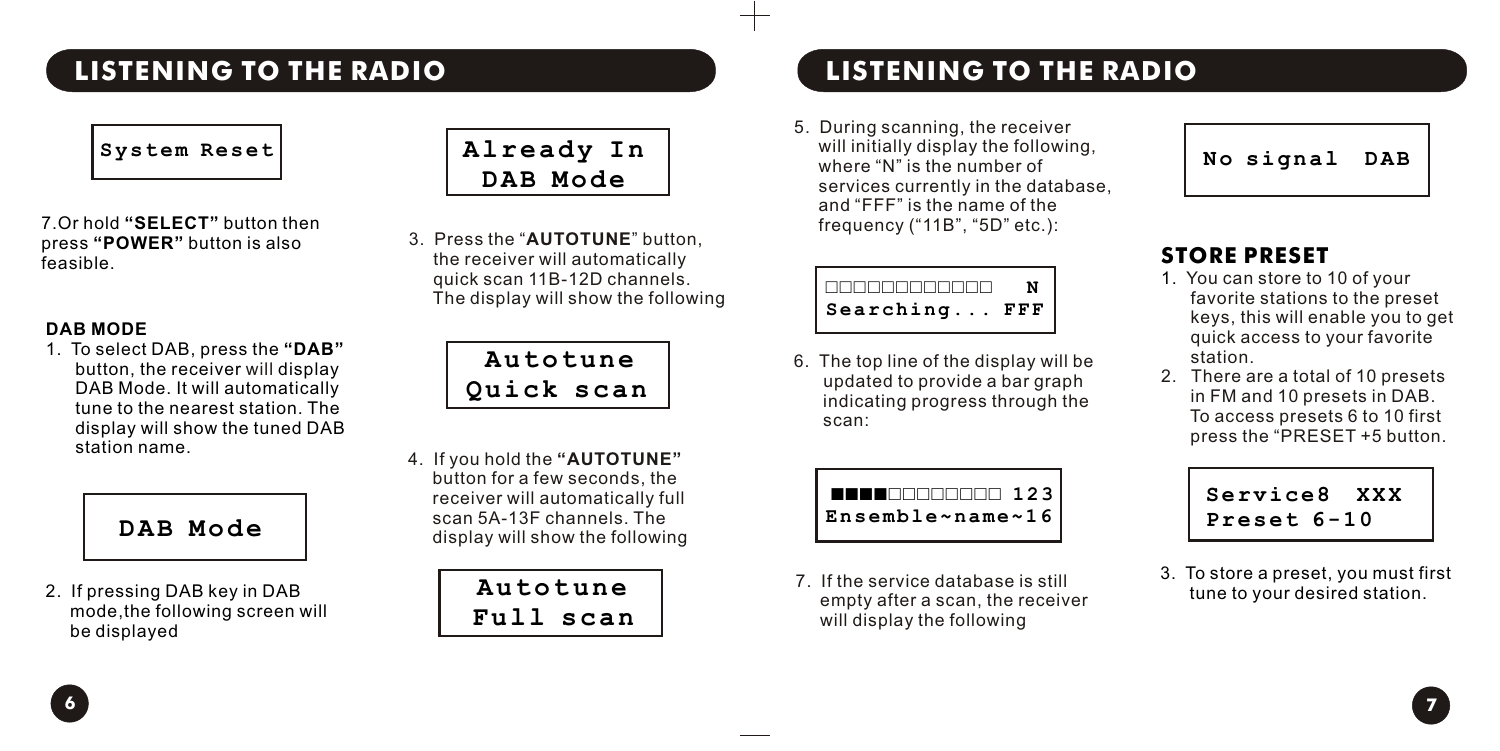# **LISTENING TO THE RADIO LISTENING TO THE RADIO**



7.Or hold **"SELECT"** button then press **"POWER"** button is also feasible.

#### **DAB MODE**

1. To select DAB, press the **"DAB"** button, the receiver will display DAB Mode. It will automatically tune to the nearest station. The display will show the tuned DAB station name.

# **DAB Mode**

2. If pressing DAB key in DAB mode,the following screen will be displayed

# **Already In DAB Mode**

3. Press the "**AUTOTUNE**" button, the receiver will automatically quick scan 11B-12D channels. The display will show the following

> **Autotune Quick scan**

4. If you hold the **"AUTOTUNE"** button for a few seconds, the receiver will automatically full scan 5A-13F channels. The display will show the following

> **Autotune Full scan**

5. During scanning, the receiver will initially display the following, where "N" is the number of services currently in the database, and "FFF" is the name of the frequency ("11B", "5D" etc.):

| Searching | FFF |
|-----------|-----|

6. The top line of the display will be updated to provide a bar graph indicating progress through the scan:



7. If the service database is still empty after a scan, the receiver will display the following



# **STORE PRESET**

- 1. You can store to 10 of your favorite stations to the preset keys, this will enable you to get quick access to your favorite station.
- 2. There are a total of 10 presets in FM and 10 presets in DAB. To access presets 6 to 10 first press the "PRESET +5 button.

**Service8 XXX Preset 6-10**

3. To store a preset, you must first tune to your desired station.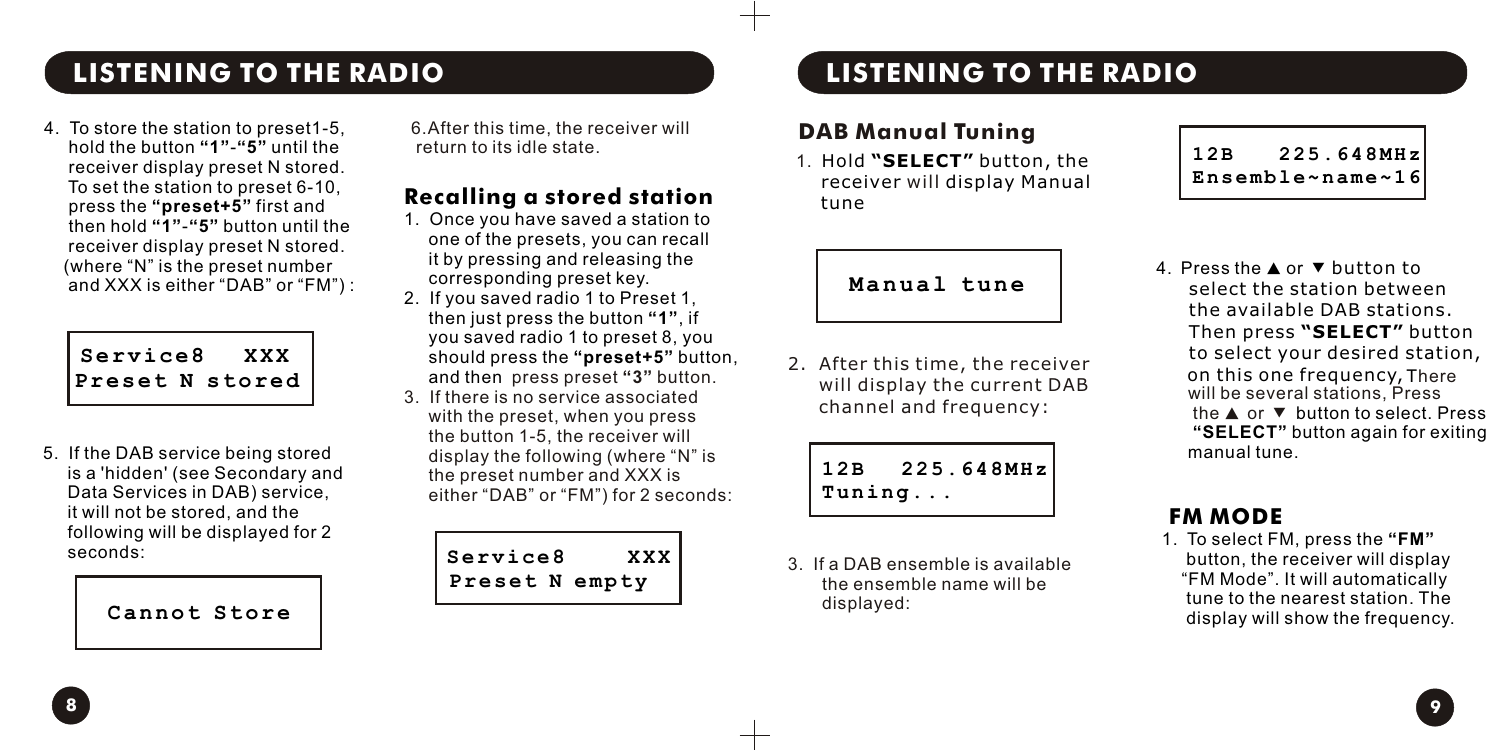# **LISTENING TO THE RADIO LISTENING TO THE RADIO**

4. To store the station to preset1-5, hold the button **"1"**-**"5"** until the receiver display preset N stored. To set the station to preset 6-10, press the **"preset+5"** first and then hold **"1"**-**"5"** button until the receiver display preset N stored. (where "N" is the preset number and XXX is either "DAB" or "FM") :

 **Service8 XXX Preset N stored**

5. If the DAB service being stored is a 'hidden' (see Secondary and Data Services in DAB) service, it will not be stored, and the following will be displayed for 2 seconds:

**Cannot Store**

6.After this time, the receiver will return to its idle state.

### **Recalling a stored station**

- 1. Once you have saved a station to one of the presets, you can recall it by pressing and releasing the corresponding preset key.
- 2. If you saved radio 1 to Preset 1, then just press the button **"1"**, if you saved radio 1 to preset 8, you should press the **"preset+5"** button, and then press preset **"3"** button.
- 3. If there is no service associated with the preset, when you press the button 1-5, the receiver will display the following (where "N" is the preset number and XXX is either "DAB" or "FM") for 2 seconds:

 **Service8 XXX Preset N empty**

#### **DAB Manual Tuning**

1. Hold **"SELECT"** button, the receiver will display Manual tune

 **Manual tune**

2. After this time, the receiver will display the current DAB channel and frequency:

**12B 225.648MHz**

3. If a DAB ensemble is available the ensemble name will be

**Tuning...**

displayed:



4. Press the ▲ or ▼ button to select the station between the available DAB stations. Then press **"SELECT"** button to select your desired station, on this one frequency, There will be several stations. Press the ▲ or ▼ button to select. Press  **"SELECT"** button again for exiting manual tune.

## **FM MODE**

1. To select FM, press the **"FM"** button, the receiver will display "FM Mode". It will automatically tune to the nearest station. The display will show the frequency.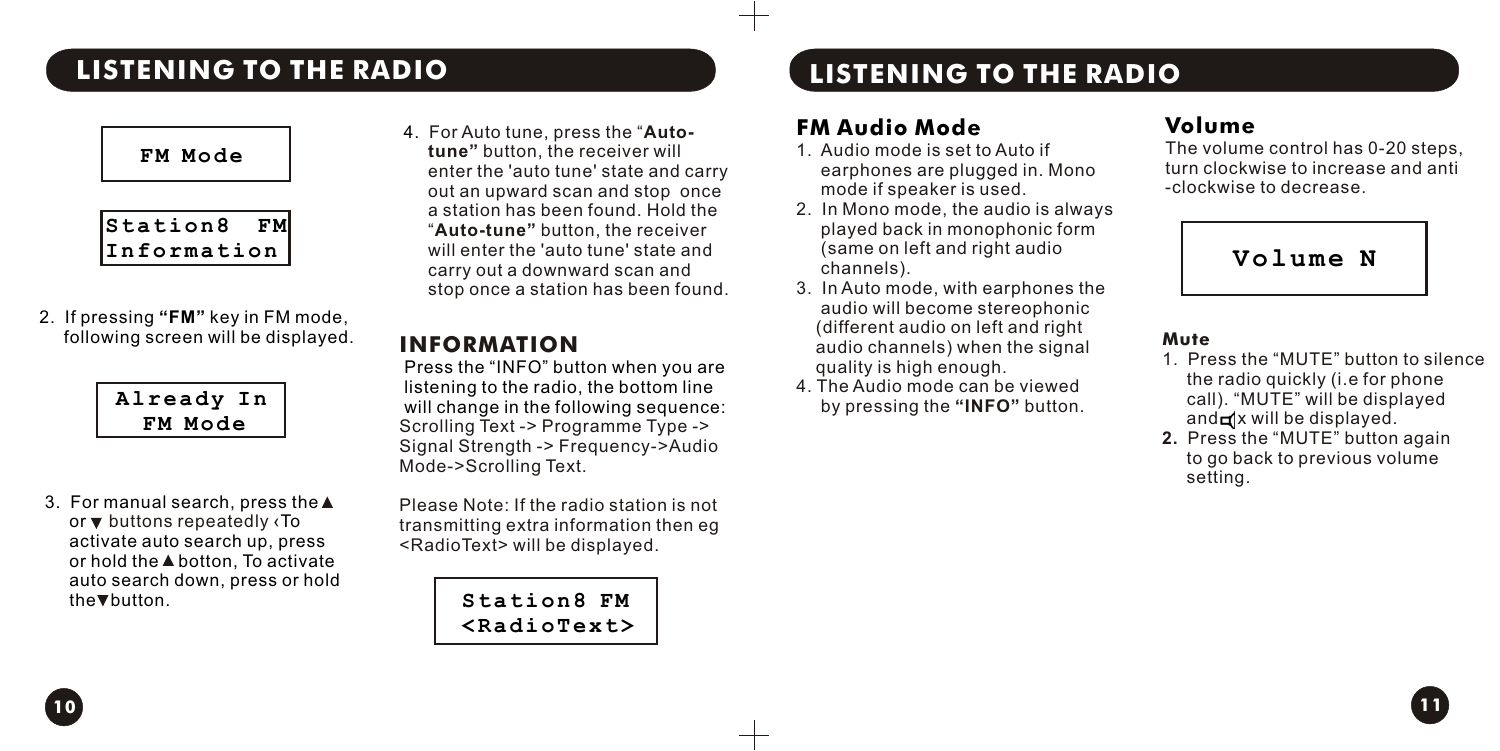#### **FM Mode**

**Station8 FM Information** 

2. If pressing **"FM"** key in FM mode, following screen will be displayed.

| Already |  |
|---------|--|
| M Mode  |  |

3. For manual search, press the or  $\blacktriangledown$  buttons repeatedly ‹To activate auto search up, press or hold the A botton. To activate auto search down, press or hold the **v** button.

4. For Auto tune, press the "**Auto tune"** button, the receiver will enter the 'auto tune' state and carry out an upward scan and stop once a station has been found. Hold the "**Auto-tune"** button, the receiver will enter the 'auto tune' state and carry out a downward scan and stop once a station has been found.

### **INFORMATION**

Scrolling Text -> Programme Type -> Signal Strength -> Frequency->Audio Mode->Scrolling Text. Press the "INFO" button when you are listening to the radio, the bottom line will change in the following sequence:

Please Note: If the radio station is not transmitting extra information then eg <RadioText> will be displayed.

> **Station8 FM <RadioText>**

**10 11**

# **LISTENING TO THE RADIO LISTENING TO THE RADIO**

### **FM Audio Mode**

- 1. Audio mode is set to Auto if earphones are plugged in. Mono mode if speaker is used.
- 2. In Mono mode, the audio is always played back in monophonic form (same on left and right audio channels).
- 3. In Auto mode, with earphones the audio will become stereophonic (different audio on left and right audio channels) when the signal quality is high enough.
- 4. The Audio mode can be viewed by pressing the **"INFO"** button.

# **Volume**

The volume control has 0-20 steps, turn clockwise to increase and anti -clockwise to decrease.



#### **Mute**

- 1. Press the "MUTE" button to silence the radio quickly (i.e for phone call). "MUTE" will be displayed  $and$  $x$  will be displayed.
- **2.** Press the "MUTE" button again to go back to previous volume setting.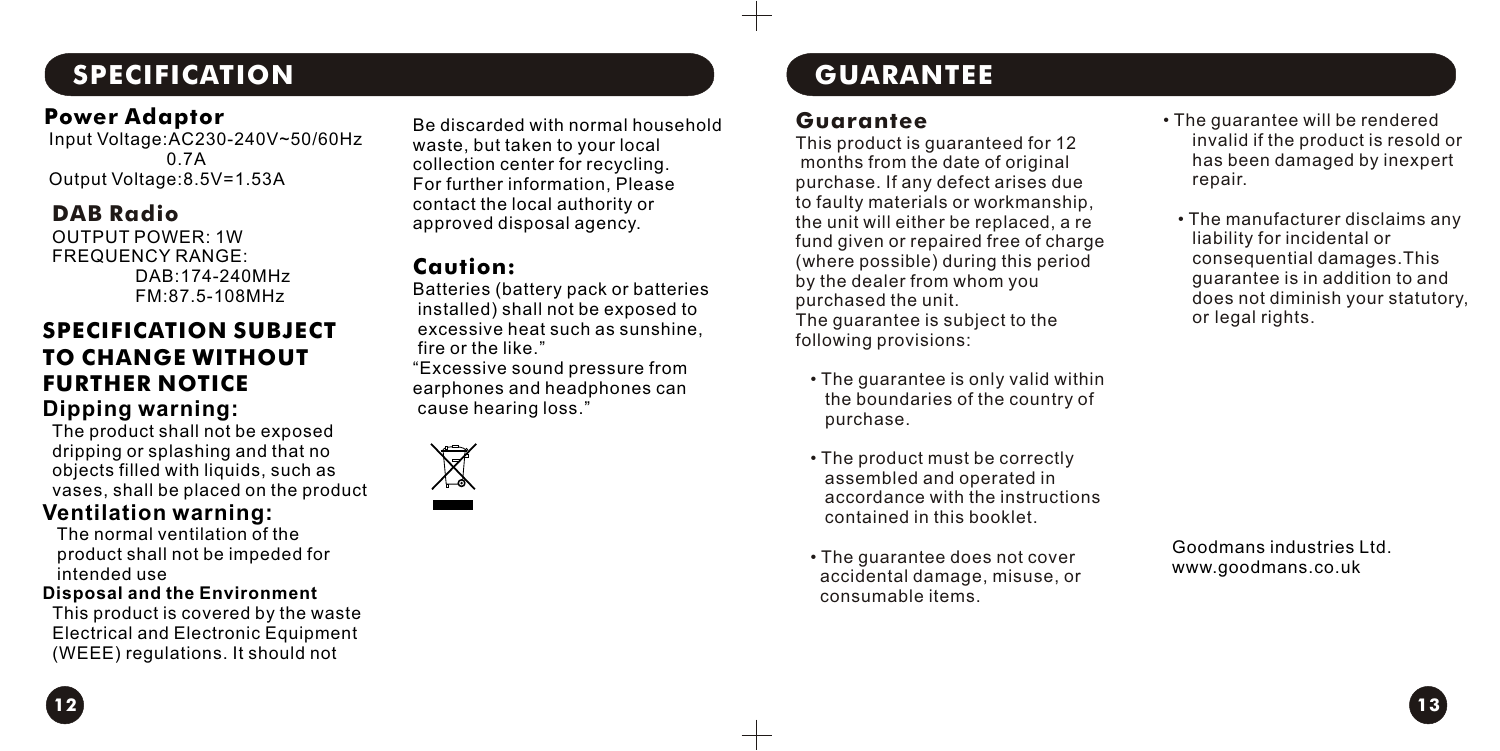# **SPECIFICATION**

#### **Power Adaptor**

 Input Voltage:AC230-240V~50/60Hz 0.7A Output Voltage:8.5V=1.53A

#### **DAB Radio**

OUTPUT POWER: 1W FREQUENCY RANGE: DAB:174-240MHz FM:87.5-108MHz

#### **SPECIFICATION SUBJECT TO CHANGE WITHOUT FURTHER NOTICE Dipping warning:**

 The product shall not be exposed dripping or splashing and that no objects filled with liquids, such as vases, shall be placed on the product

#### **Ventilation warning:**

 The normal ventilation of the product shall not be impeded for intended use

#### **Disposal and the Environment**

This product is covered by the waste Electrical and Electronic Equipment (WEEE) regulations. It should not

Be discarded with normal household waste, but taken to your local collection center for recycling. For further information, Please contact the local authority or approved disposal agency.

#### **Caution:**

Batteries (battery pack or batteries installed) shall not be exposed to excessive heat such as sunshine, fire or the like."

"Excessive sound pressure from earphones and headphones can cause hearing loss."



# **GUARANTEE**

#### **Guarantee**

This product is guaranteed for 12 months from the date of original purchase. If any defect arises due to faulty materials or workmanship, the unit will either be replaced, a re fund given or repaired free of charge (where possible) during this period by the dealer from whom you purchased the unit. The guarantee is subject to the following provisions:

- The guarantee is only valid within the boundaries of the country of purchase.
- The product must be correctly assembled and operated in accordance with the instructions contained in this booklet.
- The guarantee does not cover accidental damage, misuse, or consumable items.
- The guarantee will be rendered invalid if the product is resold or has been damaged by inexpert repair.
- The manufacturer disclaims any liability for incidental or consequential damages.This guarantee is in addition to and does not diminish your statutory, or legal rights.

Goodmans industries Ltd. www.goodmans.co.uk